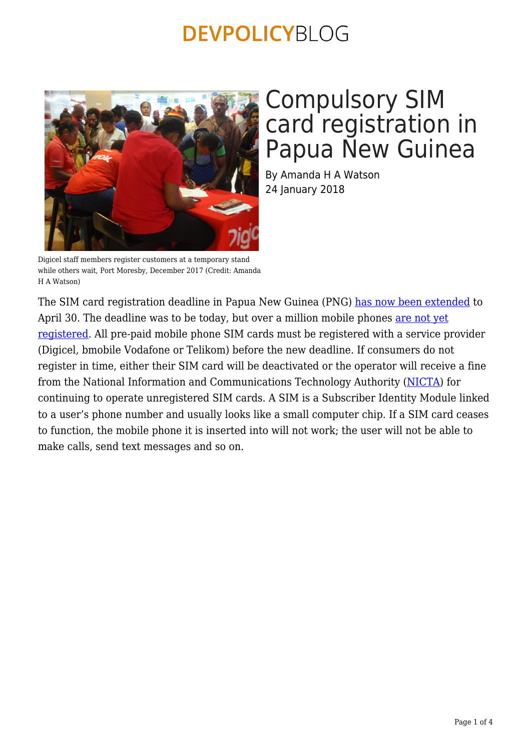

Digicel staff members register customers at a temporary stand while others wait, Port Moresby, December 2017 (Credit: Amanda H A Watson)

## Compulsory SIM card registration in Papua New Guinea

By Amanda H A Watson 24 January 2018

The SIM card registration deadline in Papua New Guinea (PNG) [has now been extended](http://www.emtv.com.pg/basil-sim-card-registration-extend-to-april-30/) to April 30. The deadline was to be today, but over a million mobile phones [are not yet](http://www.abc.net.au/news/programs/pacific-beat/2018-01-23/png-government-gives-mobile-phone-users-another-3/9351774) [registered](http://www.abc.net.au/news/programs/pacific-beat/2018-01-23/png-government-gives-mobile-phone-users-another-3/9351774). All pre-paid mobile phone SIM cards must be registered with a service provider (Digicel, bmobile Vodafone or Telikom) before the new deadline. If consumers do not register in time, either their SIM card will be deactivated or the operator will receive a fine from the National Information and Communications Technology Authority [\(NICTA](http://www.nicta.gov.pg/sim-card-registration-faq)) for continuing to operate unregistered SIM cards. A SIM is a Subscriber Identity Module linked to a user's phone number and usually looks like a small computer chip. If a SIM card ceases to function, the mobile phone it is inserted into will not work; the user will not be able to make calls, send text messages and so on.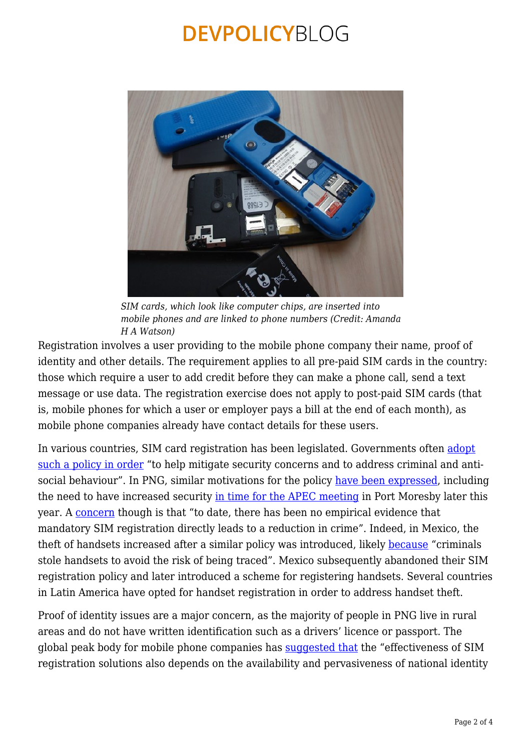

*SIM cards, which look like computer chips, are inserted into mobile phones and are linked to phone numbers (Credit: Amanda H A Watson)*

Registration involves a user providing to the mobile phone company their name, proof of identity and other details. The requirement applies to all pre-paid SIM cards in the country: those which require a user to add credit before they can make a phone call, send a text message or use data. The registration exercise does not apply to post-paid SIM cards (that is, mobile phones for which a user or employer pays a bill at the end of each month), as mobile phone companies already have contact details for these users.

In various countries, SIM card registration has been legislated. Governments often [adopt](https://www.gsma.com/publicpolicy/wp-content/uploads/2016/04/GSMA2016_Report_MandatoryRegistrationOfPrepaidSIMCards.pdf) [such a policy in order](https://www.gsma.com/publicpolicy/wp-content/uploads/2016/04/GSMA2016_Report_MandatoryRegistrationOfPrepaidSIMCards.pdf) "to help mitigate security concerns and to address criminal and antisocial behaviour". In PNG, similar motivations for the policy [have been expressed,](http://www.looppng.com/tech/register-your-sim-safety-security-basil-71973) including the need to have increased security [in time for the APEC meeting](https://www.radionz.co.nz/international/pacific-news/347342/png-extending-sim-card-registration) in Port Moresby later this year. A [concern](https://www.gsma.com/publicpolicy/wp-content/uploads/2016/04/GSMA2016_Report_MandatoryRegistrationOfPrepaidSIMCards.pdf) though is that "to date, there has been no empirical evidence that mandatory SIM registration directly leads to a reduction in crime". Indeed, in Mexico, the theft of handsets increased after a similar policy was introduced, likely [because](https://www.gsma.com/publicpolicy/wp-content/uploads/2016/04/GSMA2016_Report_MandatoryRegistrationOfPrepaidSIMCards.pdf) "criminals stole handsets to avoid the risk of being traced". Mexico subsequently abandoned their SIM registration policy and later introduced a scheme for registering handsets. Several countries in Latin America have opted for handset registration in order to address handset theft.

Proof of identity issues are a major concern, as the majority of people in PNG live in rural areas and do not have written identification such as a drivers' licence or passport. The global peak body for mobile phone companies has [suggested that](https://www.gsma.com/publicpolicy/wp-content/uploads/2016/04/GSMA2016_Report_MandatoryRegistrationOfPrepaidSIMCards.pdf) the "effectiveness of SIM registration solutions also depends on the availability and pervasiveness of national identity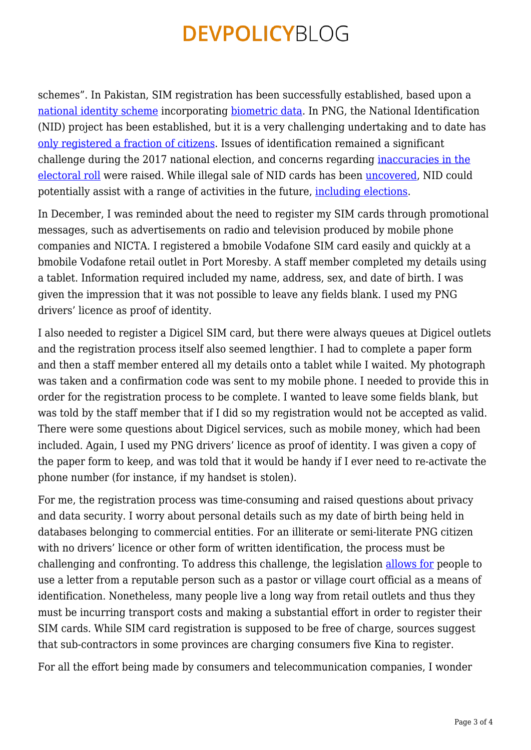schemes". In Pakistan, SIM registration has been successfully established, based upon a [national identity scheme](https://www.nadra.gov.pk/identity/identity-cnic/) incorporating [biometric data](https://www.nadra.gov.pk/local-projects/identity-management/biometric-verification-services-2/). In PNG, the National Identification (NID) project has been established, but it is a very challenging undertaking and to date has [only registered a fraction of citizens.](https://postcourier.com.pg/nid-system-working-well/) Issues of identification remained a significant challenge during the 2017 national election, and concerns regarding [inaccuracies in the](https://www.reuters.com/article/us-papua-election/voting-in-papua-new-guinea-marred-by-problems-with-electoral-rolls-disruptions-idUSKBN19N06U) [electoral roll](https://www.reuters.com/article/us-papua-election/voting-in-papua-new-guinea-marred-by-problems-with-electoral-rolls-disruptions-idUSKBN19N06U) were raised. While illegal sale of NID cards has been [uncovered,](http://www.looppng.com/png-news/nid-syndicate-uncovered-72524) NID could potentially assist with a range of activities in the future, [including elections](http://bellschool.anu.edu.au/experts-publications/publications/1328/biometric-voter-registration-way-forward-melanesia).

In December, I was reminded about the need to register my SIM cards through promotional messages, such as advertisements on radio and television produced by mobile phone companies and NICTA. I registered a bmobile Vodafone SIM card easily and quickly at a bmobile Vodafone retail outlet in Port Moresby. A staff member completed my details using a tablet. Information required included my name, address, sex, and date of birth. I was given the impression that it was not possible to leave any fields blank. I used my PNG drivers' licence as proof of identity.

I also needed to register a Digicel SIM card, but there were always queues at Digicel outlets and the registration process itself also seemed lengthier. I had to complete a paper form and then a staff member entered all my details onto a tablet while I waited. My photograph was taken and a confirmation code was sent to my mobile phone. I needed to provide this in order for the registration process to be complete. I wanted to leave some fields blank, but was told by the staff member that if I did so my registration would not be accepted as valid. There were some questions about Digicel services, such as mobile money, which had been included. Again, I used my PNG drivers' licence as proof of identity. I was given a copy of the paper form to keep, and was told that it would be handy if I ever need to re-activate the phone number (for instance, if my handset is stolen).

For me, the registration process was time-consuming and raised questions about privacy and data security. I worry about personal details such as my date of birth being held in databases belonging to commercial entities. For an illiterate or semi-literate PNG citizen with no drivers' licence or other form of written identification, the process must be challenging and confronting. To address this challenge, the legislation [allows for](http://webpages.trendmediapacific.com/nicta/participated/) people to use a letter from a reputable person such as a pastor or village court official as a means of identification. Nonetheless, many people live a long way from retail outlets and thus they must be incurring transport costs and making a substantial effort in order to register their SIM cards. While SIM card registration is supposed to be free of charge, sources suggest that sub-contractors in some provinces are charging consumers five Kina to register.

For all the effort being made by consumers and telecommunication companies, I wonder